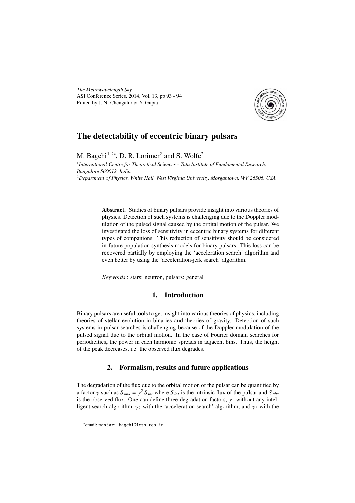*The Metrewavelength Sky* ASI Conference Series, 2014, Vol. 13, pp 93 – 94 Edited by J. N. Chengalur & Y. Gupta



## The detectability of eccentric binary pulsars

M. Bagchi<sup>1,2\*</sup>, D. R. Lorimer<sup>2</sup> and S. Wolfe<sup>2</sup>

<sup>1</sup> International Centre for Theoretical Sciences - Tata Institute of Fundamental Research, *Bangalore 560012, India* <sup>2</sup>*Department of Physics, White Hall, West Virginia University, Morgantown, WV 26506, USA*

> Abstract. Studies of binary pulsars provide insight into various theories of physics. Detection of such systems is challenging due to the Doppler modulation of the pulsed signal caused by the orbital motion of the pulsar. We investigated the loss of sensitivity in eccentric binary systems for different types of companions. This reduction of sensitivity should be considered in future population synthesis models for binary pulsars. This loss can be recovered partially by employing the 'acceleration search' algorithm and even better by using the 'acceleration-jerk search' algorithm.

*Keywords* : stars: neutron, pulsars: general

## 1. Introduction

Binary pulsars are useful tools to get insight into various theories of physics, including theories of stellar evolution in binaries and theories of gravity. Detection of such systems in pulsar searches is challenging because of the Doppler modulation of the pulsed signal due to the orbital motion. In the case of Fourier domain searches for periodicities, the power in each harmonic spreads in adjacent bins. Thus, the height of the peak decreases, i.e. the observed flux degrades.

## 2. Formalism, results and future applications

The degradation of the flux due to the orbital motion of the pulsar can be quantified by a factor  $\gamma$  such as  $S_{obs} = \gamma^2 S_{int}$  where  $S_{int}$  is the intrinsic flux of the pulsar and  $S_{obs}$ is the observed flux. One can define three degradation factors,  $\gamma_1$  without any intelligent search algorithm,  $\gamma_2$  with the 'acceleration search' algorithm, and  $\gamma_3$  with the

<sup>∗</sup> email: manjari.bagchi@icts.res.in